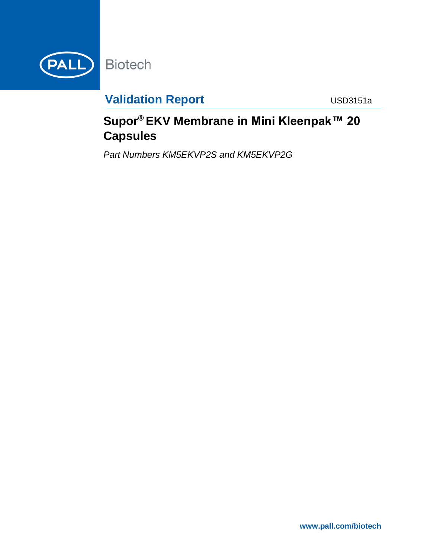

# **Validation Report Manual Construction Construction Construction Construction Construction Construction Construction Construction Construction Construction Construction Construction Construction Construction Construction C**

# **Supor® EKV Membrane in Mini Kleenpak™ 20 Capsules**

*Part Numbers KM5EKVP2S and KM5EKVP2G*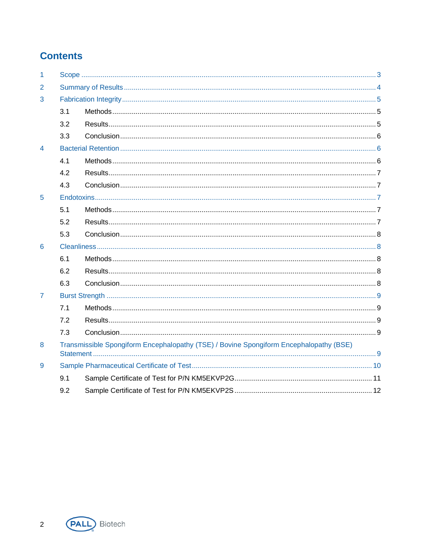# **Contents**

| 1              |                                                                                        |  |  |  |
|----------------|----------------------------------------------------------------------------------------|--|--|--|
| 2              |                                                                                        |  |  |  |
| 3              |                                                                                        |  |  |  |
|                | 3.1                                                                                    |  |  |  |
|                | 3.2                                                                                    |  |  |  |
|                | 3.3                                                                                    |  |  |  |
| $\overline{4}$ |                                                                                        |  |  |  |
|                | 4.1                                                                                    |  |  |  |
|                | 4.2                                                                                    |  |  |  |
|                | 4.3                                                                                    |  |  |  |
| 5              |                                                                                        |  |  |  |
|                | 5.1                                                                                    |  |  |  |
|                | 5.2                                                                                    |  |  |  |
|                | 5.3                                                                                    |  |  |  |
| 6              |                                                                                        |  |  |  |
|                | 6.1                                                                                    |  |  |  |
|                | 6.2                                                                                    |  |  |  |
|                | 6.3                                                                                    |  |  |  |
| $\overline{7}$ |                                                                                        |  |  |  |
|                | 7.1                                                                                    |  |  |  |
|                | 7.2                                                                                    |  |  |  |
|                | 7.3                                                                                    |  |  |  |
| 8              | Transmissible Spongiform Encephalopathy (TSE) / Bovine Spongiform Encephalopathy (BSE) |  |  |  |
| 9              |                                                                                        |  |  |  |
|                | 9.1                                                                                    |  |  |  |
|                | 9.2                                                                                    |  |  |  |

 $\overline{2}$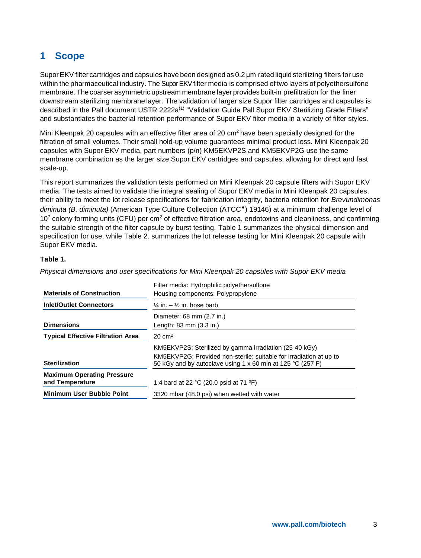# <span id="page-2-0"></span>**1 Scope**

Supor EKV filter cartridges and capsules have been designed as 0.2 um rated liquid sterilizing filters for use within the pharmaceutical industry. The Supor EKV filter media is comprised of two layers of polyethersulfone membrane. The coarser asymmetric upstream membrane layer provides built-in prefiltration for the finer downstream sterilizing membranelayer. The validation of larger size Supor filter cartridges and capsules is described in the Pall document USTR 2222a<sup>(1)</sup> "Validation Guide Pall Supor EKV Sterilizing Grade Filters" and substantiates the bacterial retention performance of Supor EKV filter media in a variety of filter styles.

Mini Kleenpak 20 capsules with an effective filter area of 20  $\text{cm}^2$  have been specially designed for the filtration of small volumes. Their small hold-up volume guarantees minimal product loss. Mini Kleenpak 20 capsules with Supor EKV media, part numbers (p/n) KM5EKVP2S and KM5EKVP2G use the same membrane combination as the larger size Supor EKV cartridges and capsules, allowing for direct and fast scale-up.

This report summarizes the validation tests performed on Mini Kleenpak 20 capsule filters with Supor EKV media. The tests aimed to validate the integral sealing of Supor EKV media in Mini Kleenpak 20 capsules, their ability to meet the lot release specifications for fabrication integrity, bacteria retention for *Brevundimonas diminuta* (B. *diminuta*) (American Type Culture Collection (ATCC<sup>\*</sup>) 19146) at a minimum challenge level of  $10<sup>7</sup>$  colony forming units (CFU) per cm<sup>2</sup> of effective filtration area, endotoxins and cleanliness, and confirming the suitable strength of the filter capsule by burst testing. [Table 1](#page-2-1) summarizes the physical dimension and specification for use, while [Table 2.](#page-3-1) summarizes the lot release testing for Mini Kleenpak 20 capsule with Supor EKV media.

### <span id="page-2-1"></span>**Table 1.**

|                                          | Filter media: Hydrophilic polyethersulfone                                                                                       |  |
|------------------------------------------|----------------------------------------------------------------------------------------------------------------------------------|--|
| <b>Materials of Construction</b>         | Housing components: Polypropylene                                                                                                |  |
| <b>Inlet/Outlet Connectors</b>           | $\frac{1}{4}$ in. $-\frac{1}{2}$ in. hose barb                                                                                   |  |
|                                          | Diameter: 68 mm (2.7 in.)                                                                                                        |  |
| <b>Dimensions</b>                        | Length: 83 mm (3.3 in.)                                                                                                          |  |
| <b>Typical Effective Filtration Area</b> | $20 \text{ cm}^2$                                                                                                                |  |
|                                          | KM5EKVP2S: Sterilized by gamma irradiation (25-40 kGy)                                                                           |  |
| <b>Sterilization</b>                     | KM5EKVP2G: Provided non-sterile; suitable for irradiation at up to<br>50 kGy and by autoclave using 1 x 60 min at 125 °C (257 F) |  |
| <b>Maximum Operating Pressure</b>        |                                                                                                                                  |  |
| and Temperature                          | 1.4 bard at 22 $^{\circ}$ C (20.0 psid at 71 $^{\circ}$ F)                                                                       |  |
| <b>Minimum User Bubble Point</b>         | 3320 mbar (48.0 psi) when wetted with water                                                                                      |  |

*Physical dimensions and user specifications for Mini Kleenpak 20 capsules with Supor EKV media*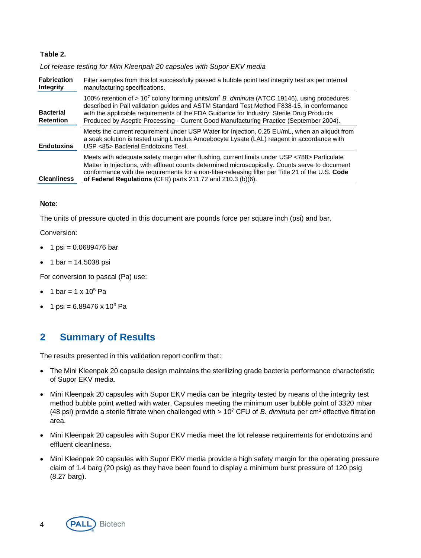### <span id="page-3-1"></span>**Table 2.**

*Lot release testing for Mini Kleenpak 20 capsules with Supor EKV media*

| <b>Fabrication</b><br>Integrity      | Filter samples from this lot successfully passed a bubble point test integrity test as per internal<br>manufacturing specifications.                                                                                                                                                                                                                                                                   |  |  |
|--------------------------------------|--------------------------------------------------------------------------------------------------------------------------------------------------------------------------------------------------------------------------------------------------------------------------------------------------------------------------------------------------------------------------------------------------------|--|--|
| <b>Bacterial</b><br><b>Retention</b> | 100% retention of > 10 <sup>7</sup> colony forming units/cm <sup>2</sup> B. diminuta (ATCC 19146), using procedures<br>described in Pall validation guides and ASTM Standard Test Method F838-15, in conformance<br>with the applicable requirements of the FDA Guidance for Industry: Sterile Drug Products<br>Produced by Aseptic Processing - Current Good Manufacturing Practice (September 2004). |  |  |
| <b>Endotoxins</b>                    | Meets the current requirement under USP Water for Injection, 0.25 EU/mL, when an aliquot from<br>a soak solution is tested using Limulus Amoebocyte Lysate (LAL) reagent in accordance with<br>USP <85> Bacterial Endotoxins Test.                                                                                                                                                                     |  |  |
| <b>Cleanliness</b>                   | Meets with adequate safety margin after flushing, current limits under USP <788> Particulate<br>Matter in Injections, with effluent counts determined microscopically. Counts serve to document<br>conformance with the requirements for a non-fiber-releasing filter per Title 21 of the U.S. Code<br>of Federal Regulations (CFR) parts 211.72 and 210.3 (b)(6).                                     |  |  |

#### **Note**:

The units of pressure quoted in this document are pounds force per square inch (psi) and bar.

Conversion:

- 1 psi =  $0.0689476$  bar
- 1 bar =  $14.5038$  psi

For conversion to pascal (Pa) use:

- 1 bar =  $1 \times 10^5$  Pa
- 1 psi =  $6.89476 \times 10^{3}$  Pa

## <span id="page-3-0"></span>**2 Summary of Results**

The results presented in this validation report confirm that:

- The Mini Kleenpak 20 capsule design maintains the sterilizing grade bacteria performance characteristic of Supor EKV media.
- Mini Kleenpak 20 capsules with Supor EKV media can be integrity tested by means of the integrity test method bubble point wetted with water. Capsules meeting the minimum user bubble point of 3320 mbar (48 psi) provide a sterile filtrate when challenged with > 10<sup>7</sup> CFU of *B. diminuta* per cm<sup>2</sup>effective filtration area.
- Mini Kleenpak 20 capsules with Supor EKV media meet the lot release requirements for endotoxins and effluent cleanliness.
- Mini Kleenpak 20 capsules with Supor EKV media provide a high safety margin for the operating pressure claim of 1.4 barg (20 psig) as they have been found to display a minimum burst pressure of 120 psig (8.27 barg).

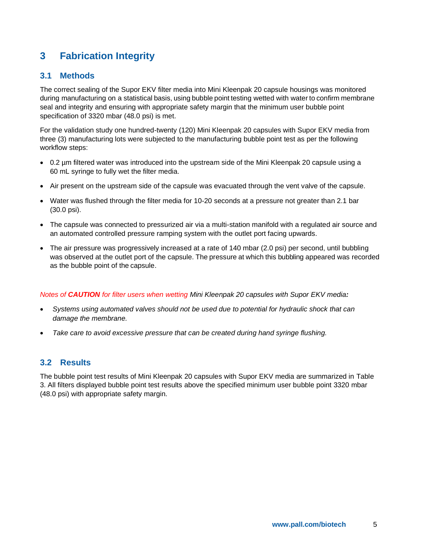# <span id="page-4-0"></span>**3 Fabrication Integrity**

### <span id="page-4-1"></span>**3.1 Methods**

The correct sealing of the Supor EKV filter media into Mini Kleenpak 20 capsule housings was monitored during manufacturing on a statistical basis, using bubble point testing wetted with water to confirm membrane seal and integrity and ensuring with appropriate safety margin that the minimum user bubble point specification of 3320 mbar (48.0 psi) is met.

For the validation study one hundred-twenty (120) Mini Kleenpak 20 capsules with Supor EKV media from three (3) manufacturing lots were subjected to the manufacturing bubble point test as per the following workflow steps:

- 0.2 µm filtered water was introduced into the upstream side of the Mini Kleenpak 20 capsule using a 60 mL syringe to fully wet the filter media.
- Air present on the upstream side of the capsule was evacuated through the vent valve of the capsule.
- Water was flushed through the filter media for 10-20 seconds at a pressure not greater than 2.1 bar (30.0 psi).
- The capsule was connected to pressurized air via a multi-station manifold with a regulated air source and an automated controlled pressure ramping system with the outlet port facing upwards.
- The air pressure was progressively increased at a rate of 140 mbar (2.0 psi) per second, until bubbling was observed at the outlet port of the capsule. The pressure at which this bubbling appeared was recorded as the bubble point of thecapsule.

#### *Notes of CAUTION for filter users when wetting Mini Kleenpak 20 capsules with Supor EKV media:*

- *Systems using automated valves should not be used due to potential for hydraulic shock that can damage the membrane.*
- *Take care to avoid excessive pressure that can be created during hand syringe flushing.*

## <span id="page-4-2"></span>**3.2 Results**

The bubble point test results of Mini Kleenpak 20 capsules with Supor EKV media are summarized in [Table](#page-5-3)  [3.](#page-5-3) All filters displayed bubble point test results above the specified minimum user bubble point 3320 mbar (48.0 psi) with appropriate safety margin.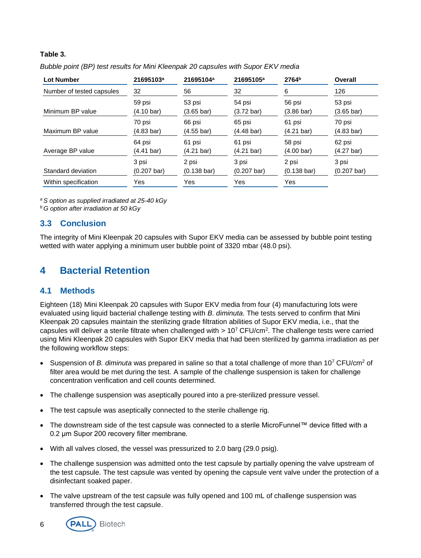### <span id="page-5-3"></span>**Table 3.**

| Bubble point (BP) test results for Mini Kleenpak 20 capsules with Supor EKV media |  |
|-----------------------------------------------------------------------------------|--|
|-----------------------------------------------------------------------------------|--|

| <b>Lot Number</b>         | 21695103 <sup>a</sup><br>32 | 21695104 <sup>a</sup><br>56 | 21695105 <sup>a</sup><br>32 | 2764 <sup>b</sup><br>6 | Overall<br>126        |
|---------------------------|-----------------------------|-----------------------------|-----------------------------|------------------------|-----------------------|
| Number of tested capsules |                             |                             |                             |                        |                       |
| Minimum BP value          | 59 psi                      | 53 psi                      | 54 psi                      | 56 psi                 | 53 psi                |
|                           | (4.10 bar)                  | $(3.65 \text{ bar})$        | $(3.72 \text{ bar})$        | $(3.86 \text{ bar})$   | $(3.65 \text{ bar})$  |
| Maximum BP value          | 70 psi                      | 66 psi                      | 65 psi                      | 61 psi                 | 70 psi                |
|                           | (4.83 bar)                  | $(4.55 \text{ bar})$        | $(4.48 \text{ bar})$        | $(4.21 \text{ bar})$   | $(4.83 \text{ bar})$  |
| Average BP value          | 64 psi                      | 61 psi                      | 61 psi                      | 58 psi                 | 62 psi                |
|                           | (4.41 bar)                  | $(4.21 \text{ bar})$        | $(4.21 \text{ bar})$        | $(4.00 \,\text{bar})$  | $(4.27 \text{ bar})$  |
| Standard deviation        | 3 psi                       | 2 psi                       | 3 psi                       | 2 psi                  | 3 psi                 |
|                           | $(0.207 \text{ bar})$       | $(0.138 \text{ bar})$       | $(0.207 \text{ bar})$       | $(0.138 \text{ bar})$  | $(0.207 \text{ bar})$ |
| Within specification      | Yes                         | Yes                         | Yes                         | Yes                    |                       |

*<sup>a</sup>S option as supplied irradiated at 25-40 kGy*

*<sup>b</sup>G option after irradiation at 50 kGy*

## <span id="page-5-0"></span>**3.3 Conclusion**

The integrity of Mini Kleenpak 20 capsules with Supor EKV media can be assessed by bubble point testing wetted with water applying a minimum user bubble point of 3320 mbar (48.0 psi).

## <span id="page-5-1"></span>**4 Bacterial Retention**

### <span id="page-5-2"></span>**4.1 Methods**

Eighteen (18) Mini Kleenpak 20 capsules with Supor EKV media from four (4) manufacturing lots were evaluated using liquid bacterial challenge testing with *B. diminuta*. The tests served to confirm that Mini Kleenpak 20 capsules maintain the sterilizing grade filtration abilities of Supor EKV media, i.e., that the capsules will deliver a sterile filtrate when challenged with  $> 10^7$  CFU/cm<sup>2</sup>. The challenge tests were carried using Mini Kleenpak 20 capsules with Supor EKV media that had been sterilized by gamma irradiation as per the following workflow steps:

- Suspension of *B. diminuta* was prepared in saline so that a total challenge of more than 10<sup>7</sup> CFU/cm<sup>2</sup> of filter area would be met during the test. A sample of the challenge suspension is taken for challenge concentration verification and cell counts determined.
- The challenge suspension was aseptically poured into a pre-sterilized pressure vessel.
- The test capsule was aseptically connected to the sterile challenge rig.
- The downstream side of the test capsule was connected to a sterile MicroFunnel™ device fitted with a 0.2 μm Supor 200 recovery filter membrane.
- With all valves closed, the vessel was pressurized to 2.0 barg (29.0 psig).
- The challenge suspension was admitted onto the test capsule by partially opening the valve upstream of the test capsule. The test capsule was vented by opening the capsule vent valve under the protection of a disinfectant soaked paper.
- The valve upstream of the test capsule was fully opened and 100 mL of challenge suspension was transferred through the test capsule.

6

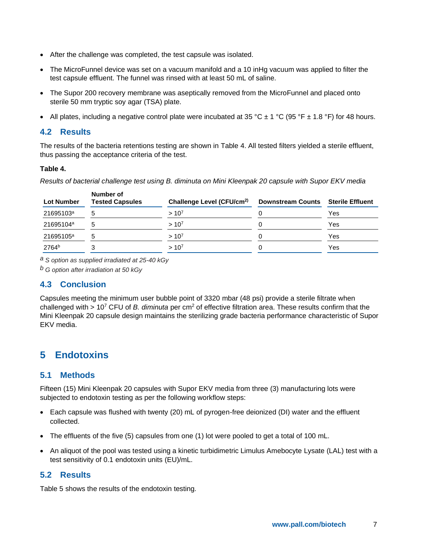- After the challenge was completed, the test capsule was isolated.
- The MicroFunnel device was set on a vacuum manifold and a 10 inHg vacuum was applied to filter the test capsule effluent. The funnel was rinsed with at least 50 mL of saline.
- The Supor 200 recovery membrane was aseptically removed from the MicroFunnel and placed onto sterile 50 mm tryptic soy agar (TSA) plate.
- All plates, including a negative control plate were incubated at 35 °C  $\pm$  1 °C (95 °F  $\pm$  1.8 °F) for 48 hours.

## <span id="page-6-0"></span>**4.2 Results**

The results of the bacteria retentions testing are shown in [Table 4.](#page-6-5) All tested filters yielded a sterile effluent, thus passing the acceptance criteria of the test.

### <span id="page-6-5"></span>**Table 4.**

*Results of bacterial challenge test using B. diminuta on Mini Kleenpak 20 capsule with Supor EKV media* 

| <b>Lot Number</b>     | Number of<br><b>Tested Capsules</b> | Challenge Level (CFU/cm <sup>2)</sup> | <b>Downstream Counts</b> | Sterile Effluent |
|-----------------------|-------------------------------------|---------------------------------------|--------------------------|------------------|
| 21695103 <sup>a</sup> |                                     | $> 10^{7}$                            |                          | Yes              |
| 21695104 <sup>a</sup> |                                     | $> 10^{7}$                            |                          | Yes              |
| 21695105 <sup>a</sup> |                                     | $> 10^{7}$                            |                          | Yes              |
| 2764 <sup>b</sup>     |                                     | $> 10^{7}$                            |                          | Yes              |

*a S option as supplied irradiated at 25-40 kGy*

*b G option after irradiation at 50 kGy*

## <span id="page-6-1"></span>**4.3 Conclusion**

Capsules meeting the minimum user bubble point of 3320 mbar (48 psi) provide a sterile filtrate when challenged with > 10<sup>7</sup> CFU of *B. diminuta* per cm<sup>2</sup> of effective filtration area. These results confirm that the Mini Kleenpak 20 capsule design maintains the sterilizing grade bacteria performance characteristic of Supor EKV media.

## <span id="page-6-2"></span>**5 Endotoxins**

## <span id="page-6-3"></span>**5.1 Methods**

Fifteen (15) Mini Kleenpak 20 capsules with Supor EKV media from three (3) manufacturing lots were subjected to endotoxin testing as per the following workflow steps:

- Each capsule was flushed with twenty (20) mL of pyrogen-free deionized (DI) water and the effluent collected.
- The effluents of the five (5) capsules from one (1) lot were pooled to get a total of 100 mL.
- An aliquot of the pool was tested using a kinetic turbidimetric Limulus Amebocyte Lysate (LAL) test with a test sensitivity of 0.1 endotoxin units (EU)/mL.

## <span id="page-6-4"></span>**5.2 Results**

[Table 5](#page-7-5) shows the results of the endotoxin testing.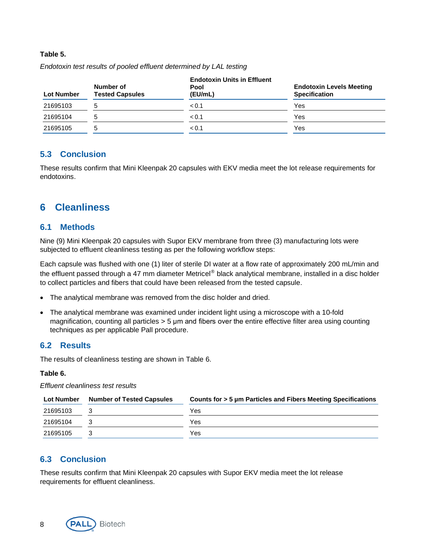#### <span id="page-7-5"></span>**Table 5.**

| <b>Lot Number</b> | Number of<br><b>Tested Capsules</b> | <b>Endotoxin Units in Effluent</b><br>Pool<br>(EU/mL) | <b>Endotoxin Levels Meeting</b><br><b>Specification</b> |
|-------------------|-------------------------------------|-------------------------------------------------------|---------------------------------------------------------|
| 21695103          | 5                                   | < 0.1                                                 | Yes                                                     |
| 21695104          | 5                                   | < 0.1                                                 | Yes                                                     |
| 21695105          | 5                                   | < 0.1                                                 | Yes                                                     |

*Endotoxin test results of pooled effluent determined by LAL testing*

### <span id="page-7-0"></span>**5.3 Conclusion**

These results confirm that Mini Kleenpak 20 capsules with EKV media meet the lot release requirements for endotoxins.

## <span id="page-7-1"></span>**6 Cleanliness**

### <span id="page-7-2"></span>**6.1 Methods**

Nine (9) Mini Kleenpak 20 capsules with Supor EKV membrane from three (3) manufacturing lots were subjected to effluent cleanliness testing as per the following workflow steps:

Each capsule was flushed with one (1) liter of sterile DI water at a flow rate of approximately 200 mL/min and the effluent passed through a 47 mm diameter Metricel® black analytical membrane, installed in a disc holder to collect particles and fibers that could have been released from the tested capsule.

- The analytical membrane was removed from the disc holder and dried.
- The analytical membrane was examined under incident light using a microscope with a 10-fold magnification, counting all particles > 5 μm and fibers over the entire effective filter area using counting techniques as per applicable Pall procedure.

### <span id="page-7-3"></span>**6.2 Results**

The results of cleanliness testing are shown in [Table 6.](#page-7-6)

### <span id="page-7-6"></span>**Table 6.**

#### *Effluent cleanliness test results*

| <b>Lot Number</b> | <b>Number of Tested Capsules</b> | Counts for > 5 µm Particles and Fibers Meeting Specifications |
|-------------------|----------------------------------|---------------------------------------------------------------|
| 21695103          |                                  | Yes                                                           |
| 21695104          |                                  | Yes                                                           |
| 21695105          |                                  | Yes                                                           |

## <span id="page-7-4"></span>**6.3 Conclusion**

These results confirm that Mini Kleenpak 20 capsules with Supor EKV media meet the lot release requirements for effluent cleanliness.

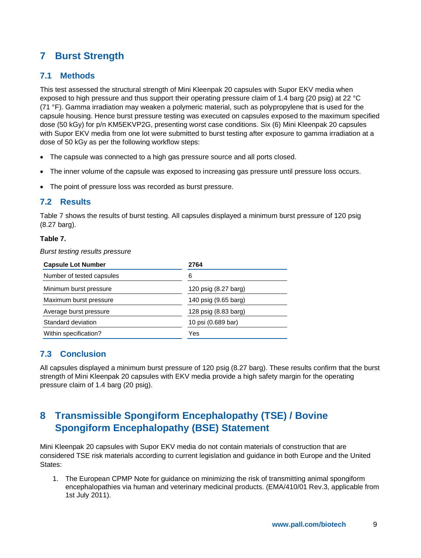# <span id="page-8-0"></span>**7 Burst Strength**

## <span id="page-8-1"></span>**7.1 Methods**

This test assessed the structural strength of Mini Kleenpak 20 capsules with Supor EKV media when exposed to high pressure and thus support their operating pressure claim of 1.4 barg (20 psig) at 22 °C (71 °F). Gamma irradiation may weaken a polymeric material, such as polypropylene that is used for the capsule housing. Hence burst pressure testing was executed on capsules exposed to the maximum specified dose (50 kGy) for p/n KM5EKVP2G, presenting worst case conditions. Six (6) Mini Kleenpak 20 capsules with Supor EKV media from one lot were submitted to burst testing after exposure to gamma irradiation at a dose of 50 kGy as per the following workflow steps:

- The capsule was connected to a high gas pressure source and all ports closed.
- The inner volume of the capsule was exposed to increasing gas pressure until pressure loss occurs.
- The point of pressure loss was recorded as burst pressure.

### <span id="page-8-2"></span>**7.2 Results**

[Table 7](#page-8-5) shows the results of burst testing. All capsules displayed a minimum burst pressure of 120 psig (8.27 barg).

### <span id="page-8-5"></span>**Table 7.**

*Burst testing results pressure*

| <b>Capsule Lot Number</b> | 2764                 |  |
|---------------------------|----------------------|--|
| Number of tested capsules | 6                    |  |
| Minimum burst pressure    | 120 psig (8.27 barg) |  |
| Maximum burst pressure    | 140 psig (9.65 barg) |  |
| Average burst pressure    | 128 psig (8.83 barg) |  |
| Standard deviation        | 10 psi (0.689 bar)   |  |
| Within specification?     | Yes                  |  |
|                           |                      |  |

## <span id="page-8-3"></span>**7.3 Conclusion**

All capsules displayed a minimum burst pressure of 120 psig (8.27 barg). These results confirm that the burst strength of Mini Kleenpak 20 capsules with EKV media provide a high safety margin for the operating pressure claim of 1.4 barg (20 psig).

## <span id="page-8-4"></span>**8 Transmissible Spongiform Encephalopathy (TSE) / Bovine Spongiform Encephalopathy (BSE) Statement**

Mini Kleenpak 20 capsules with Supor EKV media do not contain materials of construction that are considered TSE risk materials according to current legislation and guidance in both Europe and the United States:

1. The European CPMP Note for guidance on minimizing the risk of transmitting animal spongiform encephalopathies via human and veterinary medicinal products. (EMA/410/01 Rev.3, applicable from 1st July 2011).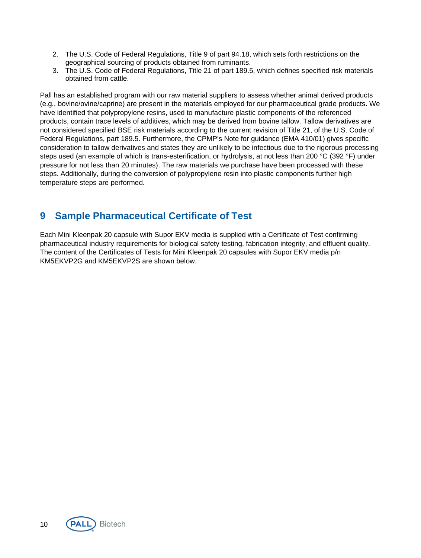- 2. The U.S. Code of Federal Regulations, Title 9 of part 94.18, which sets forth restrictions on the geographical sourcing of products obtained from ruminants.
- 3. The U.S. Code of Federal Regulations, Title 21 of part 189.5, which defines specified risk materials obtained from cattle.

Pall has an established program with our raw material suppliers to assess whether animal derived products (e.g., bovine/ovine/caprine) are present in the materials employed for our pharmaceutical grade products. We have identified that polypropylene resins, used to manufacture plastic components of the referenced products, contain trace levels of additives, which may be derived from bovine tallow. Tallow derivatives are not considered specified BSE risk materials according to the current revision of Title 21, of the U.S. Code of Federal Regulations, part 189.5. Furthermore, the CPMP's Note for guidance (EMA 410/01) gives specific consideration to tallow derivatives and states they are unlikely to be infectious due to the rigorous processing steps used (an example of which is trans-esterification, or hydrolysis, at not less than 200 °C (392 °F) under pressure for not less than 20 minutes). The raw materials we purchase have been processed with these steps. Additionally, during the conversion of polypropylene resin into plastic components further high temperature steps are performed.

## <span id="page-9-0"></span>**9 Sample Pharmaceutical Certificate of Test**

Each Mini Kleenpak 20 capsule with Supor EKV media is supplied with a Certificate of Test confirming pharmaceutical industry requirements for biological safety testing, fabrication integrity, and effluent quality. The content of the Certificates of Tests for Mini Kleenpak 20 capsules with Supor EKV media p/n KM5EKVP2G and KM5EKVP2S are shown below.

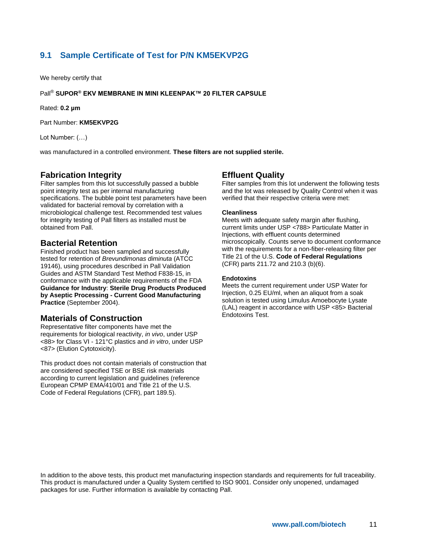## <span id="page-10-0"></span>**9.1 Sample Certificate of Test for P/N KM5EKVP2G**

We hereby certify that

#### Pall® **SUPOR® EKV MEMBRANE IN MINI KLEENPAK™ 20 FILTER CAPSULE**

Rated: **0.2 µm**

Part Number: **KM5EKVP2G**

Lot Number: (…)

was manufactured in a controlled environment. **These filters are not supplied sterile.**

#### **Fabrication Integrity**

Filter samples from this lot successfully passed a bubble point integrity test as per internal manufacturing specifications. The bubble point test parameters have been validated for bacterial removal by correlation with a microbiological challenge test. Recommended test values for integrity testing of Pall filters as installed must be obtained from Pall.

### **Bacterial Retention**

Finished product has been sampled and successfully tested for retention of *Brevundimonas diminuta* (ATCC 19146), using procedures described in Pall Validation Guides and ASTM Standard Test Method F838-15, in conformance with the applicable requirements of the FDA **Guidance for Industry**: **Sterile Drug Products Produced by Aseptic Processing - Current Good Manufacturing Practice** (September 2004).

### **Materials of Construction**

Representative filter components have met the requirements for biological reactivity, *in vivo*, under USP <88> for Class VI - 121°C plastics and *in vitro*, under USP <87> (Elution Cytotoxicity).

This product does not contain materials of construction that are considered specified TSE or BSE risk materials according to current legislation and guidelines (reference European CPMP EMA/410/01 and Title 21 of the U.S. Code of Federal Regulations (CFR), part 189.5).

#### **Effluent Quality**

Filter samples from this lot underwent the following tests and the lot was released by Quality Control when it was verified that their respective criteria were met:

#### **Cleanliness**

Meets with adequate safety margin after flushing, current limits under USP <788> Particulate Matter in Injections, with effluent counts determined microscopically. Counts serve to document conformance with the requirements for a non-fiber-releasing filter per Title 21 of the U.S. **Code of Federal Regulations** (CFR) parts 211.72 and 210.3 (b)(6).

#### **Endotoxins**

Meets the current requirement under USP Water for Injection, 0.25 EU/ml, when an aliquot from a soak solution is tested using Limulus Amoebocyte Lysate (LAL) reagent in accordance with USP <85> Bacterial Endotoxins Test.

In addition to the above tests, this product met manufacturing inspection standards and requirements for full traceability. This product is manufactured under a Quality System certified to ISO 9001. Consider only unopened, undamaged packages for use. Further information is available by contacting Pall.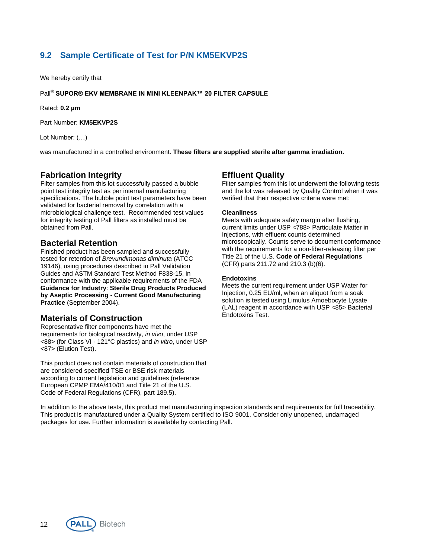## <span id="page-11-0"></span>**9.2 Sample Certificate of Test for P/N KM5EKVP2S**

We hereby certify that

#### Pall® **SUPOR® EKV MEMBRANE IN MINI KLEENPAK™ 20 FILTER CAPSULE**

Rated: **0.2 µm**

Part Number: **KM5EKVP2S**

Lot Number: (…)

was manufactured in a controlled environment. **These filters are supplied sterile after gamma irradiation.** 

#### **Fabrication Integrity**

Filter samples from this lot successfully passed a bubble point test integrity test as per internal manufacturing specifications. The bubble point test parameters have been validated for bacterial removal by correlation with a microbiological challenge test. Recommended test values for integrity testing of Pall filters as installed must be obtained from Pall.

#### **Bacterial Retention**

Finished product has been sampled and successfully tested for retention of *Brevundimonas diminuta* (ATCC 19146), using procedures described in Pall Validation Guides and ASTM Standard Test Method F838-15, in conformance with the applicable requirements of the FDA **Guidance for Industry**: **Sterile Drug Products Produced by Aseptic Processing - Current Good Manufacturing Practice** (September 2004).

### **Materials of Construction**

Representative filter components have met the requirements for biological reactivity, *in vivo*, under USP <88> (for Class VI - 121°C plastics) and *in vitro*, under USP <87> (Elution Test).

This product does not contain materials of construction that are considered specified TSE or BSE risk materials according to current legislation and guidelines (reference European CPMP EMA/410/01 and Title 21 of the U.S. Code of Federal Regulations (CFR), part 189.5).

#### **Effluent Quality**

Filter samples from this lot underwent the following tests and the lot was released by Quality Control when it was verified that their respective criteria were met:

#### **Cleanliness**

Meets with adequate safety margin after flushing, current limits under USP <788> Particulate Matter in Injections, with effluent counts determined microscopically. Counts serve to document conformance with the requirements for a non-fiber-releasing filter per Title 21 of the U.S. **Code of Federal Regulations** (CFR) parts 211.72 and 210.3 (b)(6).

#### **Endotoxins**

Meets the current requirement under USP Water for Injection, 0.25 EU/ml, when an aliquot from a soak solution is tested using Limulus Amoebocyte Lysate (LAL) reagent in accordance with USP <85> Bacterial Endotoxins Test.

In addition to the above tests, this product met manufacturing inspection standards and requirements for full traceability. This product is manufactured under a Quality System certified to ISO 9001. Consider only unopened, undamaged packages for use. Further information is available by contacting Pall.

**Biotech** PALL

12